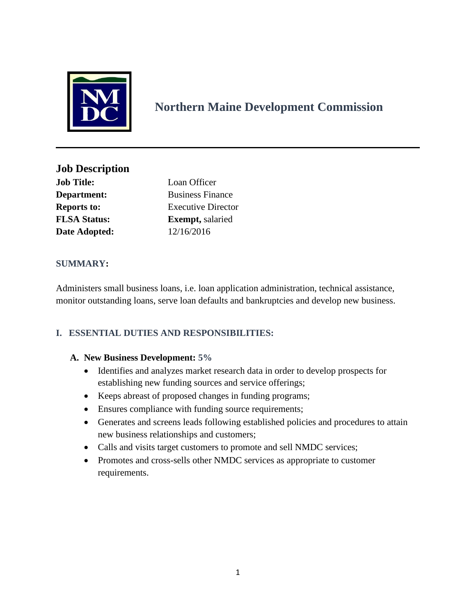

# **Northern Maine Development Commission**

**Job Description Job Title:** Loan Officer **Department:** Business Finance **Reports to:** Executive Director **FLSA Status: Exempt,** salaried **Date Adopted:** 12/16/2016

# **SUMMARY:**

Administers small business loans, i.e. loan application administration, technical assistance, monitor outstanding loans, serve loan defaults and bankruptcies and develop new business.

# **I. ESSENTIAL DUTIES AND RESPONSIBILITIES:**

## **A. New Business Development: 5%**

- Identifies and analyzes market research data in order to develop prospects for establishing new funding sources and service offerings;
- Keeps abreast of proposed changes in funding programs;
- Ensures compliance with funding source requirements;
- Generates and screens leads following established policies and procedures to attain new business relationships and customers;
- Calls and visits target customers to promote and sell NMDC services;
- Promotes and cross-sells other NMDC services as appropriate to customer requirements.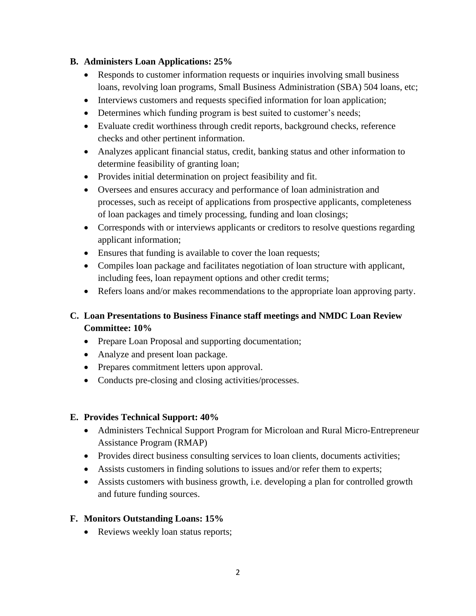## **B. Administers Loan Applications: 25%**

- Responds to customer information requests or inquiries involving small business loans, revolving loan programs, Small Business Administration (SBA) 504 loans, etc;
- Interviews customers and requests specified information for loan application;
- Determines which funding program is best suited to customer's needs;
- Evaluate credit worthiness through credit reports, background checks, reference checks and other pertinent information.
- Analyzes applicant financial status, credit, banking status and other information to determine feasibility of granting loan;
- Provides initial determination on project feasibility and fit.
- Oversees and ensures accuracy and performance of loan administration and processes, such as receipt of applications from prospective applicants, completeness of loan packages and timely processing, funding and loan closings;
- Corresponds with or interviews applicants or creditors to resolve questions regarding applicant information;
- Ensures that funding is available to cover the loan requests;
- Compiles loan package and facilitates negotiation of loan structure with applicant, including fees, loan repayment options and other credit terms;
- Refers loans and/or makes recommendations to the appropriate loan approving party.

# **C. Loan Presentations to Business Finance staff meetings and NMDC Loan Review Committee: 10%**

- Prepare Loan Proposal and supporting documentation;
- Analyze and present loan package.
- Prepares commitment letters upon approval.
- Conducts pre-closing and closing activities/processes.

## **E. Provides Technical Support: 40%**

- Administers Technical Support Program for Microloan and Rural Micro-Entrepreneur Assistance Program (RMAP)
- Provides direct business consulting services to loan clients, documents activities;
- Assists customers in finding solutions to issues and/or refer them to experts;
- Assists customers with business growth, i.e. developing a plan for controlled growth and future funding sources.

## **F. Monitors Outstanding Loans: 15%**

• Reviews weekly loan status reports;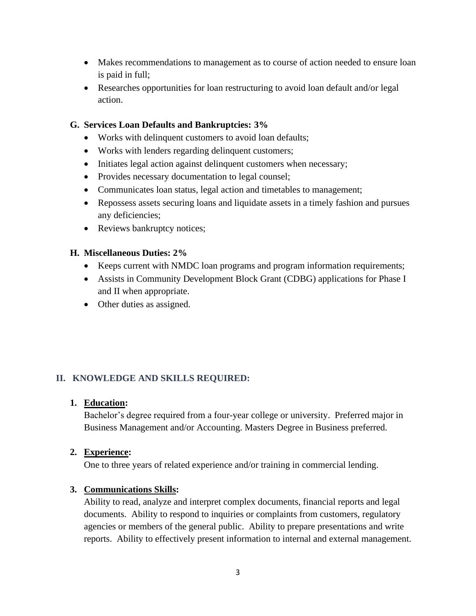- Makes recommendations to management as to course of action needed to ensure loan is paid in full;
- Researches opportunities for loan restructuring to avoid loan default and/or legal action.

## **G. Services Loan Defaults and Bankruptcies: 3%**

- Works with delinquent customers to avoid loan defaults;
- Works with lenders regarding delinquent customers;
- Initiates legal action against delinquent customers when necessary;
- Provides necessary documentation to legal counsel;
- Communicates loan status, legal action and timetables to management;
- Repossess assets securing loans and liquidate assets in a timely fashion and pursues any deficiencies;
- Reviews bankruptcy notices;

#### **H. Miscellaneous Duties: 2%**

- Keeps current with NMDC loan programs and program information requirements;
- Assists in Community Development Block Grant (CDBG) applications for Phase I and II when appropriate.
- Other duties as assigned.

## **II. KNOWLEDGE AND SKILLS REQUIRED:**

#### **1. Education:**

Bachelor's degree required from a four-year college or university. Preferred major in Business Management and/or Accounting. Masters Degree in Business preferred.

#### **2. Experience:**

One to three years of related experience and/or training in commercial lending.

## **3. Communications Skills:**

Ability to read, analyze and interpret complex documents, financial reports and legal documents. Ability to respond to inquiries or complaints from customers, regulatory agencies or members of the general public. Ability to prepare presentations and write reports. Ability to effectively present information to internal and external management.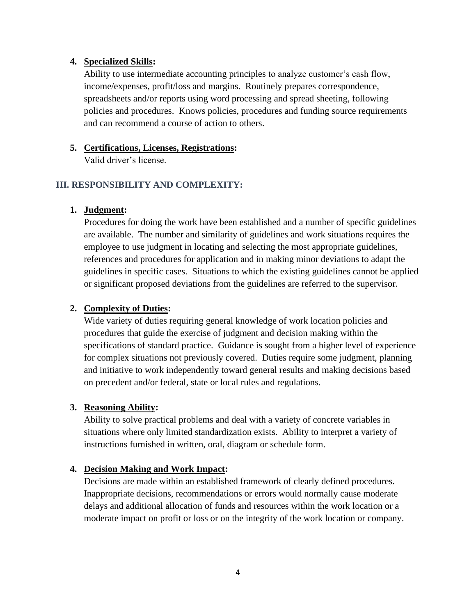#### **4. Specialized Skills:**

Ability to use intermediate accounting principles to analyze customer's cash flow, income/expenses, profit/loss and margins. Routinely prepares correspondence, spreadsheets and/or reports using word processing and spread sheeting, following policies and procedures. Knows policies, procedures and funding source requirements and can recommend a course of action to others.

#### **5. Certifications, Licenses, Registrations:**

Valid driver's license.

## **III. RESPONSIBILITY AND COMPLEXITY:**

#### **1. Judgment:**

Procedures for doing the work have been established and a number of specific guidelines are available. The number and similarity of guidelines and work situations requires the employee to use judgment in locating and selecting the most appropriate guidelines, references and procedures for application and in making minor deviations to adapt the guidelines in specific cases. Situations to which the existing guidelines cannot be applied or significant proposed deviations from the guidelines are referred to the supervisor.

## **2. Complexity of Duties:**

Wide variety of duties requiring general knowledge of work location policies and procedures that guide the exercise of judgment and decision making within the specifications of standard practice. Guidance is sought from a higher level of experience for complex situations not previously covered. Duties require some judgment, planning and initiative to work independently toward general results and making decisions based on precedent and/or federal, state or local rules and regulations.

#### **3. Reasoning Ability:**

Ability to solve practical problems and deal with a variety of concrete variables in situations where only limited standardization exists. Ability to interpret a variety of instructions furnished in written, oral, diagram or schedule form.

#### **4. Decision Making and Work Impact:**

Decisions are made within an established framework of clearly defined procedures. Inappropriate decisions, recommendations or errors would normally cause moderate delays and additional allocation of funds and resources within the work location or a moderate impact on profit or loss or on the integrity of the work location or company.